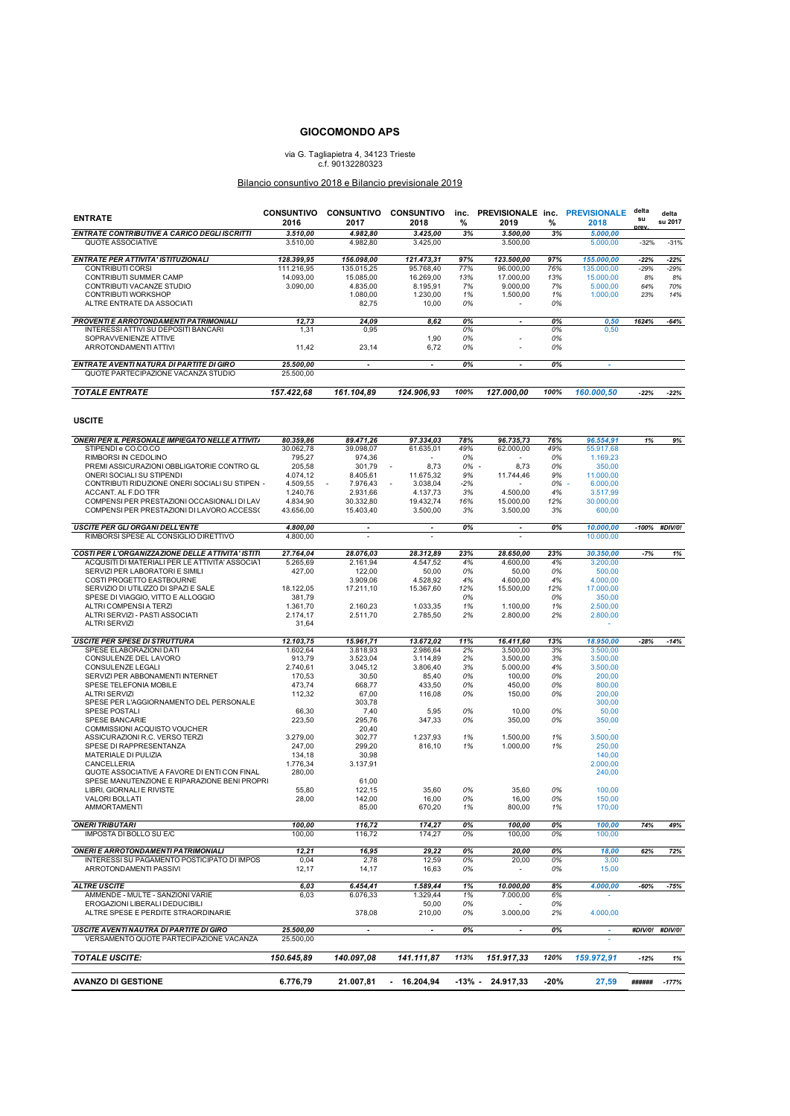## **GIOCOMONDO APS**

## via G. Tagliapietra 4, 34123 Trieste c.f. 90132280323

## Bilancio consuntivo 2018 e Bilancio previsionale 2019

| <b>ENTRATE</b>                                                                            | <b>CONSUNTIVO</b><br>2016 | 2017                     | CONSUNTIVO CONSUNTIVO<br>2018 | %         | 2019                     | %         | inc. PREVISIONALE inc. PREVISIONALE<br>2018 | delta<br>su | delta<br>su 2017 |
|-------------------------------------------------------------------------------------------|---------------------------|--------------------------|-------------------------------|-----------|--------------------------|-----------|---------------------------------------------|-------------|------------------|
| ENTRATE CONTRIBUTIVE A CARICO DEGLI ISCRITTI                                              | 3.510,00                  | 4.982,80                 | 3.425,00                      | 3%        | 3.500,00                 | 3%        | 5.000,00                                    | prev.       |                  |
| QUOTE ASSOCIATIVE                                                                         | 3.510,00                  | 4.982,80                 | 3.425,00                      |           | 3.500,00                 |           | 5.000,00                                    | $-32%$      | $-31%$           |
| ENTRATE PER ATTIVITA' ISTITUZIONALI                                                       | 128.399,95                | 156.098,00               | 121.473,31                    | 97%       | 123.500,00               | 97%       | 155.000,00                                  | $-22%$      | $-22%$           |
| CONTRIBUTI CORSI                                                                          | 111.216,95                | 135.015,25               | 95.768,40                     | 77%       | 96.000,00                | 76%       | 135.000,00                                  | $-29%$      | $-29%$           |
| CONTRIBUTI SUMMER CAMP                                                                    | 14.093,00                 | 15.085,00                | 16.269,00                     | 13%       | 17.000,00                | 13%       | 15.000,00                                   | 8%          | 8%               |
| CONTRIBUTI VACANZE STUDIO                                                                 | 3.090,00                  | 4.835,00                 | 8.195,91                      | 7%        | 9.000,00                 | 7%        | 5.000,00                                    | 64%         | 70%              |
| CONTRIBUTI WORKSHOP<br>ALTRE ENTRATE DA ASSOCIATI                                         |                           | 1.080,00<br>82,75        | 1.230,00<br>10,00             | 1%<br>0%  | 1.500,00                 | 1%<br>0%  | 1.000,00                                    | 23%         | 14%              |
| <b>PROVENTI E ARROTONDAMENTI PATRIMONIALI</b>                                             | 12,73                     | 24,09                    | 8,62                          | 0%        | $\overline{a}$           | 0%        | 0,50                                        | 1624%       | $-64%$           |
| INTERESSI ATTIVI SU DEPOSITI BANCARI<br>SOPRAVVENIENZE ATTIVE                             | 1,31                      | 0,95                     | 1,90                          | 0%<br>0%  |                          | 0%<br>0%  | 0,50                                        |             |                  |
| ARROTONDAMENTI ATTIVI                                                                     | 11,42                     | 23,14                    | 6,72                          | 0%        |                          | 0%        |                                             |             |                  |
| ENTRATE AVENTI NATURA DI PARTITE DI GIRO<br>QUOTE PARTECIPAZIONE VACANZA STUDIO           | 25.500.00<br>25.500,00    | $\overline{\phantom{a}}$ |                               | 0%        | ٠                        | 0%        |                                             |             |                  |
| <b>TOTALE ENTRATE</b>                                                                     | 157.422,68                | 161.104,89               | 124.906,93                    | 100%      | 127.000,00               | 100%      | 160.000,50                                  | $-22%$      | $-22%$           |
| <b>USCITE</b>                                                                             |                           |                          |                               |           |                          |           |                                             |             |                  |
| <b>ONERI PER IL PERSONALE IMPIEGATO NELLE ATTIVIT/</b>                                    | 80.359,86                 | 89.471,26                | 97.334,03                     | 78%       | 96.735,73                | 76%       | 96.554,91                                   | 1%          |                  |
| STIPENDI e CO.CO.CO                                                                       | 30.062,78                 | 39.098,07                | 61.635,01                     | 49%       | 62.000,00                | 49%       | 55.917,68                                   |             | 9%               |
| RIMBORSI IN CEDOLINO                                                                      | 795,27                    | 974,36                   |                               | 0%        |                          | 0%        | 1.169,23                                    |             |                  |
| PREMI ASSICURAZIONI OBBLIGATORIE CONTRO GL                                                | 205,58                    | 301,79                   | 8,73                          | 0%        | 8,73                     | 0%        | 350,00                                      |             |                  |
| ONERI SOCIALI SU STIPENDI                                                                 | 4.074,12                  | 8.405,61                 | 11.675,32                     | 9%        | 11.744,46                | 9%        | 11.000,00                                   |             |                  |
| CONTRIBUTI RIDUZIONE ONERI SOCIALI SU STIPEN -                                            | 4.509,55                  | 7.976,43                 | 3.038,04                      | -2%       |                          | 0%        | 6.000,00                                    |             |                  |
| ACCANT. AL F.DO TFR                                                                       | 1.240,76                  | 2.931,66                 | 4.137,73                      | 3%        | 4.500,00                 | 4%        | 3.517,99                                    |             |                  |
| COMPENSI PER PRESTAZIONI OCCASIONALI DI LAV<br>COMPENSI PER PRESTAZIONI DI LAVORO ACCESSO | 4.834,90<br>43.656,00     | 30.332,80<br>15.403,40   | 19.432,74<br>3.500,00         | 16%<br>3% | 15.000,00<br>3.500,00    | 12%<br>3% | 30.000,00<br>600,00                         |             |                  |
| <b>USCITE PER GLI ORGANI DELL'ENTE</b>                                                    | 4.800.00                  | $\overline{\phantom{a}}$ | $\blacksquare$                | 0%        | $\overline{\phantom{a}}$ | 0%        | 10.000,00                                   | $-100%$     | #DIV/0!          |
| RIMBORSI SPESE AL CONSIGLIO DIRETTIVO                                                     | 4.800.00                  |                          |                               |           |                          |           | 10.000,00                                   |             |                  |
| COSTI PER L'ORGANIZZAZIONE DELLE ATTIVITA' ISTITI                                         | 27.764,04                 | 28.076.03                | 28.312.89                     | 23%       | 28.650,00                | 23%       | 30.350,00                                   | $-7%$       | 1%               |
| ACQUSITI DI MATERIALI PER LE ATTIVITA' ASSOCIAT                                           | 5.265,69                  | 2.161,94                 | 4.547,52                      | 4%        | 4.600,00                 | 4%        | 3.200,00                                    |             |                  |
| SERVIZI PER LABORATORI E SIMILI                                                           | 427,00                    | 122,00                   | 50,00                         | 0%        | 50,00                    | 0%        | 500,00                                      |             |                  |
| COSTI PROGETTO EASTBOURNE                                                                 |                           | 3.909,06                 | 4.528,92                      | 4%        | 4.600,00                 | 4%        | 4.000,00                                    |             |                  |
| SERVIZIO DI UTILIZZO DI SPAZI E SALE                                                      | 18.122,05                 | 17.211,10                | 15.367,60                     | 12%       | 15.500,00                | 12%       | 17.000,00                                   |             |                  |
| SPESE DI VIAGGIO, VITTO E ALLOGGIO<br>ALTRI COMPENSI A TERZI                              | 381,79<br>1.361,70        | 2.160,23                 | 1.033,35                      | 0%<br>1%  | 1.100,00                 | 0%<br>1%  | 350,00<br>2.500,00                          |             |                  |
| ALTRI SERVIZI - PASTI ASSOCIATI                                                           | 2.174,17                  | 2.511,70                 | 2.785,50                      | 2%        | 2.800,00                 | 2%        | 2.800,00                                    |             |                  |
| <b>ALTRI SERVIZI</b>                                                                      | 31,64                     |                          |                               |           |                          |           | ÷                                           |             |                  |
| <b>USCITE PER SPESE DI STRUTTURA</b>                                                      | 12.103,75                 | 15.961,71                | 13.672,02                     | 11%       | 16.411,60                | 13%       | 18.950,00                                   | $-28%$      | $-14%$           |
| SPESE ELABORAZIONI DATI                                                                   | 1.602,64                  | 3.818,93                 | 2.986,64                      | 2%        | 3.500,00                 | 3%        | 3.500,00                                    |             |                  |
| CONSULENZE DEL LAVORO                                                                     | 913,79                    | 3.523,04                 | 3.114,89                      | 2%        | 3.500,00                 | 3%        | 3.500,00                                    |             |                  |
| CONSULENZE LEGALI<br>SERVIZI PER ABBONAMENTI INTERNET                                     | 2.740,61<br>170,53        | 3.045,12<br>30,50        | 3.806,40<br>85,40             | 3%<br>0%  | 5.000,00<br>100,00       | 4%<br>0%  | 3.500,00<br>200,00                          |             |                  |
| SPESE TELEFONIA MOBILE                                                                    | 473,74                    | 668,77                   | 433,50                        | 0%        | 450,00                   | 0%        | 800,00                                      |             |                  |
| <b>ALTRI SERVIZI</b>                                                                      | 112,32                    | 67,00                    | 116,08                        | 0%        | 150,00                   | 0%        | 200,00                                      |             |                  |
| SPESE PER L'AGGIORNAMENTO DEL PERSONALE                                                   |                           | 303,78                   |                               |           |                          |           | 300,00                                      |             |                  |
| SPESE POSTALI                                                                             | 66,30                     | 7,40                     | 5,95                          | 0%        | 10,00                    | 0%        | 50,00                                       |             |                  |
| SPESE BANCARIE                                                                            | 223,50                    | 295,76                   | 347,33                        | 0%        | 350,00                   | 0%        | 350,00                                      |             |                  |
| COMMISSIONI ACQUISTO VOUCHER<br>ASSICURAZIONI R.C. VERSO TERZI                            | 3.279,00                  | 20,40<br>302,77          | 1.237,93                      | 1%        | 1.500,00                 | 1%        | 3.500,00                                    |             |                  |
| SPESE DI RAPPRESENTANZA                                                                   | 247,00                    | 299,20                   | 816,10                        | 1%        | 1.000,00                 | 1%        | 250,00                                      |             |                  |
| MATERIALE DI PULIZIA                                                                      | 134,18                    | 30,98                    |                               |           |                          |           | 140,00                                      |             |                  |
| CANCELLERIA                                                                               | 1.776,34                  | 3.137,91                 |                               |           |                          |           | 2.000,00                                    |             |                  |
| QUOTE ASSOCIATIVE A FAVORE DI ENTI CON FINAL                                              | 280,00                    |                          |                               |           |                          |           | 240,00                                      |             |                  |
| SPESE MANUTENZIONE E RIPARAZIONE BENI PROPRI<br>LIBRI, GIORNALI E RIVISTE                 | 55,80                     | 61,00<br>122,15          | 35,60                         | 0%        | 35,60                    | 0%        | 100,00                                      |             |                  |
| VALORI BOLLATI                                                                            | 28.00                     | 142,00                   | 16,00                         | 0%        | 16,00                    | 0%        | 150,00                                      |             |                  |
| AMMORTAMENTI                                                                              |                           | 85,00                    | 670,20                        | 1%        | 800,00                   | 1%        | 170,00                                      |             |                  |
| <b>ONERI TRIBUTARI</b>                                                                    | 100,00                    | 116,72                   | 174,27                        | 0%        | 100,00                   | 0%        | 100,00                                      | 74%         | 49%              |
| IMPOSTA DI BOLLO SU E/C                                                                   | 100,00                    | 116,72                   | 174,27                        | 0%        | 100,00                   | 0%        | 100,00                                      |             |                  |
| <b>ONERI E ARROTONDAMENTI PATRIMONIALI</b>                                                | 12,21                     | 16,95                    | 29,22                         | 0%        | 20,00                    | 0%        | 18,00                                       | 62%         | 72%              |
| INTERESSI SU PAGAMENTO POSTICIPATO DI IMPOS                                               | 0,04                      | 2,78                     | 12,59                         | 0%        | 20,00                    | 0%        | 3,00                                        |             |                  |
| ARROTONDAMENTI PASSIVI                                                                    | 12,17                     | 14,17                    | 16,63                         | 0%        | $\overline{\phantom{a}}$ | 0%        | 15,00                                       |             |                  |
| <b>ALTRE USCITE</b>                                                                       | 6,03                      | 6.454,41                 | 1.589.44                      | 1%        | 10.000,00                | 8%        | 4.000,00                                    | $-60%$      | $-75%$           |
| AMMENDE - MULTE - SANZIONI VARIE                                                          | 6,03                      | 6.076.33                 | 1.329,44                      | 1%        | 7.000,00                 | 6%        |                                             |             |                  |
| EROGAZIONI LIBERALI DEDUCIBILI<br>ALTRE SPESE E PERDITE STRAORDINARIE                     |                           | 378,08                   | 50,00<br>210,00               | 0%<br>0%  | 3.000,00                 | 0%<br>2%  | 4.000,00                                    |             |                  |
| <b>USCITE AVENTI NAUTRA DI PARTITE DI GIRO</b>                                            | 25.500,00                 | $\overline{\phantom{a}}$ |                               | 0%        | $\overline{\phantom{a}}$ | 0%        |                                             |             | #DIV/0! #DIV/0!  |
| VERSAMENTO QUOTE PARTECIPAZIONE VACANZA                                                   | 25.500,00                 |                          |                               |           |                          |           |                                             |             |                  |
| <b>TOTALE USCITE:</b>                                                                     | 150.645.89                | 140.097.08               | 141.111,87                    | 113%      | 151.917,33               | 120%      | 159.972,91                                  | $-12%$      | 1%               |
| <b>AVANZO DI GESTIONE</b>                                                                 | 6.776,79                  | 21.007,81                | $-16.204,94$                  | -13% -    | 24.917,33                | -20%      | 27,59                                       | ######      | $-177%$          |